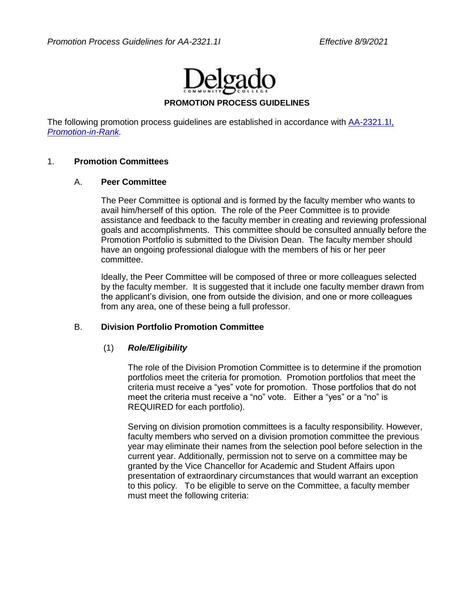

#### **PROMOTION PROCESS GUIDELINES**

The following promotion process guidelines are established in accordance with **AA-2321.1I**, *[Promotion-in-Rank.](http://docushare3.dcc.edu/docushare/dsweb/Get/Document-141/2321-1I+Delgado+Promotion+Policy+12-11-07+Approved+by+LCTCS+Board+3-12-08.pdf)*

#### 1. **Promotion Committees**

#### A. **Peer Committee**

The Peer Committee is optional and is formed by the faculty member who wants to avail him/herself of this option. The role of the Peer Committee is to provide assistance and feedback to the faculty member in creating and reviewing professional goals and accomplishments. This committee should be consulted annually before the Promotion Portfolio is submitted to the Division Dean. The faculty member should have an ongoing professional dialogue with the members of his or her peer committee.

Ideally, the Peer Committee will be composed of three or more colleagues selected by the faculty member. It is suggested that it include one faculty member drawn from the applicant's division, one from outside the division, and one or more colleagues from any area, one of these being a full professor.

#### B. **Division Portfolio Promotion Committee**

#### (1) *Role/Eligibility*

The role of the Division Promotion Committee is to determine if the promotion portfolios meet the criteria for promotion. Promotion portfolios that meet the criteria must receive a "yes" vote for promotion. Those portfolios that do not meet the criteria must receive a "no" vote. Either a "yes" or a "no" is REQUIRED for each portfolio).

Serving on division promotion committees is a faculty responsibility. However, faculty members who served on a division promotion committee the previous year may eliminate their names from the selection pool before selection in the current year. Additionally, permission not to serve on a committee may be granted by the Vice Chancellor for Academic and Student Affairs upon presentation of extraordinary circumstances that would warrant an exception to this policy. To be eligible to serve on the Committee, a faculty member must meet the following criteria: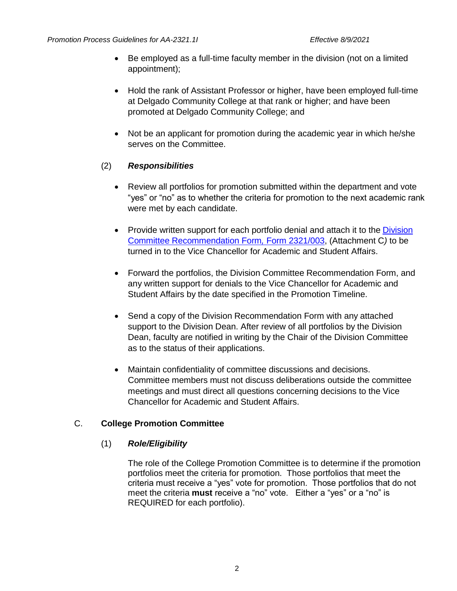- Be employed as a full-time faculty member in the division (not on a limited appointment);
- Hold the rank of Assistant Professor or higher, have been employed full-time at Delgado Community College at that rank or higher; and have been promoted at Delgado Community College; and
- Not be an applicant for promotion during the academic year in which he/she serves on the Committee.

## (2) *Responsibilities*

- Review all portfolios for promotion submitted within the department and vote "yes" or "no" as to whether the criteria for promotion to the next academic rank were met by each candidate.
- Provide written support for each portfolio denial and attach it to the *Division* [Committee Recommendation Form](http://docushare3.dcc.edu/docushare/dsweb/Get/Document-3809/2321-003+updated+12-07.doc)*,* Form 2321/003, (Attachment C*)* to be turned in to the Vice Chancellor for Academic and Student Affairs.
- Forward the portfolios, the Division Committee Recommendation Form, and any written support for denials to the Vice Chancellor for Academic and Student Affairs by the date specified in the Promotion Timeline.
- Send a copy of the Division Recommendation Form with any attached support to the Division Dean. After review of all portfolios by the Division Dean, faculty are notified in writing by the Chair of the Division Committee as to the status of their applications.
- Maintain confidentiality of committee discussions and decisions. Committee members must not discuss deliberations outside the committee meetings and must direct all questions concerning decisions to the Vice Chancellor for Academic and Student Affairs.

## C. **College Promotion Committee**

## (1) *Role/Eligibility*

The role of the College Promotion Committee is to determine if the promotion portfolios meet the criteria for promotion. Those portfolios that meet the criteria must receive a "yes" vote for promotion. Those portfolios that do not meet the criteria **must** receive a "no" vote. Either a "yes" or a "no" is REQUIRED for each portfolio).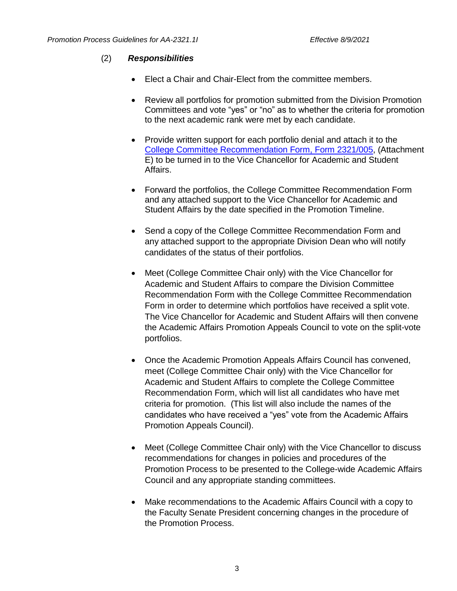## (2) *Responsibilities*

- Elect a Chair and Chair-Elect from the committee members.
- Review all portfolios for promotion submitted from the Division Promotion Committees and vote "yes" or "no" as to whether the criteria for promotion to the next academic rank were met by each candidate.
- Provide written support for each portfolio denial and attach it to the [College Committee Recommendation Form, Form 2321/005,](http://docushare3.dcc.edu/docushare/dsweb/Get/Document-3808/2321-005+updated+12-07.doc) (Attachment E) to be turned in to the Vice Chancellor for Academic and Student Affairs.
- Forward the portfolios, the College Committee Recommendation Form and any attached support to the Vice Chancellor for Academic and Student Affairs by the date specified in the Promotion Timeline.
- Send a copy of the College Committee Recommendation Form and any attached support to the appropriate Division Dean who will notify candidates of the status of their portfolios.
- Meet (College Committee Chair only) with the Vice Chancellor for Academic and Student Affairs to compare the Division Committee Recommendation Form with the College Committee Recommendation Form in order to determine which portfolios have received a split vote. The Vice Chancellor for Academic and Student Affairs will then convene the Academic Affairs Promotion Appeals Council to vote on the split-vote portfolios.
- Once the Academic Promotion Appeals Affairs Council has convened, meet (College Committee Chair only) with the Vice Chancellor for Academic and Student Affairs to complete the College Committee Recommendation Form, which will list all candidates who have met criteria for promotion. (This list will also include the names of the candidates who have received a "yes" vote from the Academic Affairs Promotion Appeals Council).
- Meet (College Committee Chair only) with the Vice Chancellor to discuss recommendations for changes in policies and procedures of the Promotion Process to be presented to the College-wide Academic Affairs Council and any appropriate standing committees.
- Make recommendations to the Academic Affairs Council with a copy to the Faculty Senate President concerning changes in the procedure of the Promotion Process.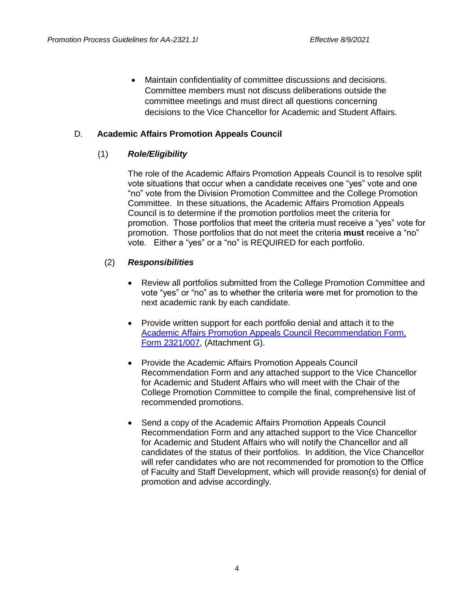• Maintain confidentiality of committee discussions and decisions. Committee members must not discuss deliberations outside the committee meetings and must direct all questions concerning decisions to the Vice Chancellor for Academic and Student Affairs.

### D. **Academic Affairs Promotion Appeals Council**

## (1) *Role/Eligibility*

The role of the Academic Affairs Promotion Appeals Council is to resolve split vote situations that occur when a candidate receives one "yes" vote and one "no" vote from the Division Promotion Committee and the College Promotion Committee. In these situations, the Academic Affairs Promotion Appeals Council is to determine if the promotion portfolios meet the criteria for promotion. Those portfolios that meet the criteria must receive a "yes" vote for promotion. Those portfolios that do not meet the criteria **must** receive a "no" vote. Either a "yes" or a "no" is REQUIRED for each portfolio.

#### (2) *Responsibilities*

- Review all portfolios submitted from the College Promotion Committee and vote "yes" or "no" as to whether the criteria were met for promotion to the next academic rank by each candidate.
- Provide written support for each portfolio denial and attach it to the [Academic Affairs Promotion Appeals Council](http://docushare3.dcc.edu/docushare/dsweb/Get/Document-3807/2321-007+updated+12-07.doc) Recommendation Form, [Form 2321/007,](http://docushare3.dcc.edu/docushare/dsweb/Get/Document-3807/2321-007+updated+12-07.doc) (Attachment G).
- Provide the Academic Affairs Promotion Appeals Council Recommendation Form and any attached support to the Vice Chancellor for Academic and Student Affairs who will meet with the Chair of the College Promotion Committee to compile the final, comprehensive list of recommended promotions.
- Send a copy of the Academic Affairs Promotion Appeals Council Recommendation Form and any attached support to the Vice Chancellor for Academic and Student Affairs who will notify the Chancellor and all candidates of the status of their portfolios. In addition, the Vice Chancellor will refer candidates who are not recommended for promotion to the Office of Faculty and Staff Development, which will provide reason(s) for denial of promotion and advise accordingly.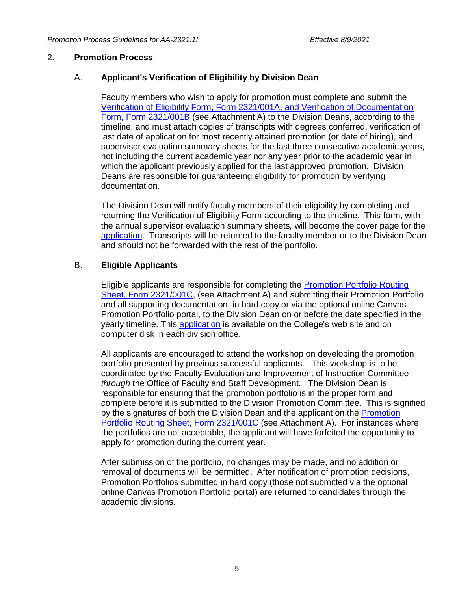#### 2. **Promotion Process**

#### A. **Applicant's Verification of Eligibility by Division Dean**

Faculty members who wish to apply for promotion must complete and submit the [Verification of Eligibility Form, Form 2321/001A, and Verification of Documentation](http://docushare3.dcc.edu/docushare/dsweb/Get/File-161/2321-001A,B,C.DOC)  [Form, Form 2321/001B](http://docushare3.dcc.edu/docushare/dsweb/Get/File-161/2321-001A,B,C.DOC) (see Attachment A) to the Division Deans, according to the timeline, and must attach copies of transcripts with degrees conferred, verification of last date of application for most recently attained promotion (or date of hiring), and supervisor evaluation summary sheets for the last three consecutive academic years, not including the current academic year nor any year prior to the academic year in which the applicant previously applied for the last approved promotion. Division Deans are responsible for guaranteeing eligibility for promotion by verifying documentation.

The Division Dean will notify faculty members of their eligibility by completing and returning the Verification of Eligibility Form according to the timeline. This form, with the annual supervisor evaluation summary sheets*,* will become the cover page for the [application.](http://docushare3.dcc.edu/docushare/dsweb/Get/File-161/2321-001A,B,C.DOC) Transcripts will be returned to the faculty member or to the Division Dean and should not be forwarded with the rest of the portfolio.

#### B. **Eligible Applicants**

Eligible applicants are responsible for completing the [Promotion Portfolio Routing](http://docushare3.dcc.edu/docushare/dsweb/Get/File-161/2321-001A,B,C.DOC) [Sheet, Form 2321/001C,](http://docushare3.dcc.edu/docushare/dsweb/Get/File-161/2321-001A,B,C.DOC) (see Attachment A) and submitting their Promotion Portfolio and all supporting documentation, in hard copy or via the optional online Canvas Promotion Portfolio portal, to the Division Dean on or before the date specified in the yearly timeline. This [application](http://docushare3.dcc.edu/docushare/dsweb/Get/File-161/2321-001A,B,C.DOC) is available on the College's web site and on computer disk in each division office.

All applicants are encouraged to attend the workshop on developing the promotion portfolio presented by previous successful applicants. This workshop is to be coordinated *by* the Faculty Evaluation and Improvement of Instruction Committee *through* the Office of Faculty and Staff Development. The Division Dean is responsible for ensuring that the promotion portfolio is in the proper form and complete before it is submitted to the Division Promotion Committee. This is signified by the signatures of both the Division Dean and the applicant on the [Promotion](http://docushare3.dcc.edu/docushare/dsweb/Get/File-161/2321-001A,B,C.DOC)  [Portfolio Routing Sheet, Form 2321/001C](http://docushare3.dcc.edu/docushare/dsweb/Get/File-161/2321-001A,B,C.DOC) (see Attachment A). For instances where the portfolios are not acceptable, the applicant will have forfeited the opportunity to apply for promotion during the current year.

After submission of the portfolio, no changes may be made, and no addition or removal of documents will be permitted. After notification of promotion decisions, Promotion Portfolios submitted in hard copy (those not submitted via the optional online Canvas Promotion Portfolio portal) are returned to candidates through the academic divisions.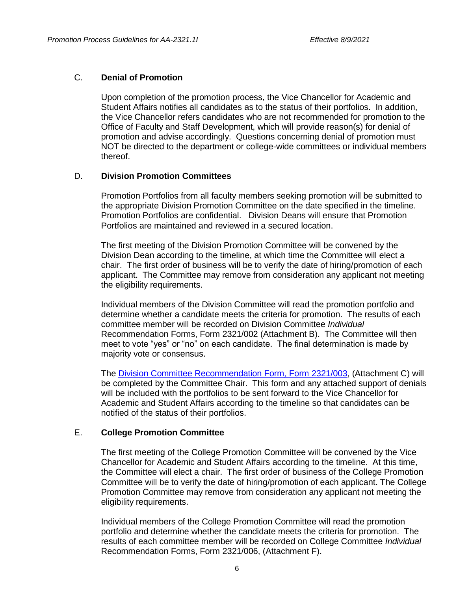#### C. **Denial of Promotion**

Upon completion of the promotion process, the Vice Chancellor for Academic and Student Affairs notifies all candidates as to the status of their portfolios. In addition, the Vice Chancellor refers candidates who are not recommended for promotion to the Office of Faculty and Staff Development, which will provide reason(s) for denial of promotion and advise accordingly. Questions concerning denial of promotion must NOT be directed to the department or college-wide committees or individual members thereof.

#### D. **Division Promotion Committees**

Promotion Portfolios from all faculty members seeking promotion will be submitted to the appropriate Division Promotion Committee on the date specified in the timeline. Promotion Portfolios are confidential. Division Deans will ensure that Promotion Portfolios are maintained and reviewed in a secured location.

The first meeting of the Division Promotion Committee will be convened by the Division Dean according to the timeline, at which time the Committee will elect a chair. The first order of business will be to verify the date of hiring/promotion of each applicant. The Committee may remove from consideration any applicant not meeting the eligibility requirements.

Individual members of the Division Committee will read the promotion portfolio and determine whether a candidate meets the criteria for promotion. The results of each committee member will be recorded on Division Committee *Individual* Recommendation Forms, Form 2321/002 (Attachment B). The Committee will then meet to vote "yes" or "no" on each candidate. The final determination is made by majority vote or consensus.

The [Division Committee Recommendation Form](http://docushare3.dcc.edu/docushare/dsweb/Get/Document-3809/2321-003+updated+12-07.doc)*,* Form 2321/003, (Attachment C) will be completed by the Committee Chair. This form and any attached support of denials will be included with the portfolios to be sent forward to the Vice Chancellor for Academic and Student Affairs according to the timeline so that candidates can be notified of the status of their portfolios.

## E. **College Promotion Committee**

The first meeting of the College Promotion Committee will be convened by the Vice Chancellor for Academic and Student Affairs according to the timeline. At this time, the Committee will elect a chair. The first order of business of the College Promotion Committee will be to verify the date of hiring/promotion of each applicant. The College Promotion Committee may remove from consideration any applicant not meeting the eligibility requirements.

Individual members of the College Promotion Committee will read the promotion portfolio and determine whether the candidate meets the criteria for promotion. The results of each committee member will be recorded on College Committee *Individual*  Recommendation Forms, Form 2321/006, (Attachment F).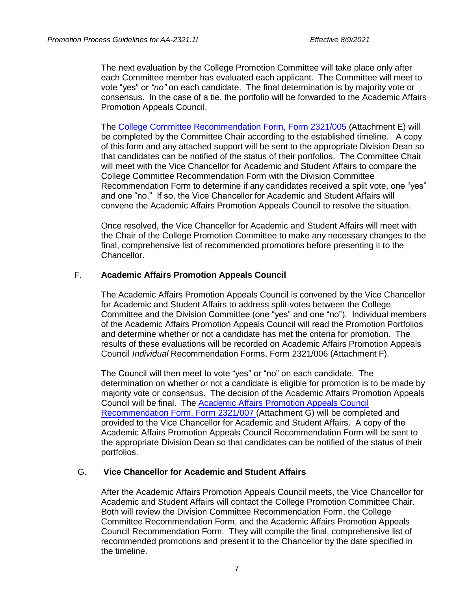The next evaluation by the College Promotion Committee will take place only after each Committee member has evaluated each applicant. The Committee will meet to vote "yes" or *"no"* on each candidate. The final determination is by majority vote or consensus. In the case of a tie, the portfolio will be forwarded to the Academic Affairs Promotion Appeals Council.

The [College Committee Recommendation Form, Form 2321/005](http://docushare3.dcc.edu/docushare/dsweb/Get/Document-3808/2321-005+updated+12-07.doc) (Attachment E) will be completed by the Committee Chair according to the established timeline. A copy of this form and any attached support will be sent to the appropriate Division Dean so that candidates can be notified of the status of their portfolios. The Committee Chair will meet with the Vice Chancellor for Academic and Student Affairs to compare the College Committee Recommendation Form with the Division Committee Recommendation Form to determine if any candidates received a split vote, one "yes" and one "no." If so, the Vice Chancellor for Academic and Student Affairs will convene the Academic Affairs Promotion Appeals Council to resolve the situation.

Once resolved, the Vice Chancellor for Academic and Student Affairs will meet with the Chair of the College Promotion Committee to make any necessary changes to the final, comprehensive list of recommended promotions before presenting it to the Chancellor.

#### F. **Academic Affairs Promotion Appeals Council**

The Academic Affairs Promotion Appeals Council is convened by the Vice Chancellor for Academic and Student Affairs to address split-votes between the College Committee and the Division Committee (one "yes" and one "no"). Individual members of the Academic Affairs Promotion Appeals Council will read the Promotion Portfolios and determine whether or not a candidate has met the criteria for promotion. The results of these evaluations will be recorded on Academic Affairs Promotion Appeals Council *Individual* Recommendation Forms, Form 2321/006 (Attachment F).

The Council will then meet to vote "yes" or "no" on each candidate. The determination on whether or not a candidate is eligible for promotion is to be made by majority vote or consensus. The decision of the Academic Affairs Promotion Appeals Council will be final. The [Academic Affairs Promotion Appeals Council](http://docushare3.dcc.edu/docushare/dsweb/Get/Document-3807/2321-007+updated+12-07.doc) [Recommendation Form, Form 2321/007 \(](http://docushare3.dcc.edu/docushare/dsweb/Get/Document-3807/2321-007+updated+12-07.doc)Attachment G) will be completed and provided to the Vice Chancellor for Academic and Student Affairs. A copy of the Academic Affairs Promotion Appeals Council Recommendation Form will be sent to the appropriate Division Dean so that candidates can be notified of the status of their portfolios.

#### G. **Vice Chancellor for Academic and Student Affairs**

After the Academic Affairs Promotion Appeals Council meets, the Vice Chancellor for Academic and Student Affairs will contact the College Promotion Committee Chair. Both will review the Division Committee Recommendation Form, the College Committee Recommendation Form, and the Academic Affairs Promotion Appeals Council Recommendation Form. They will compile the final, comprehensive list of recommended promotions and present it to the Chancellor by the date specified in the timeline.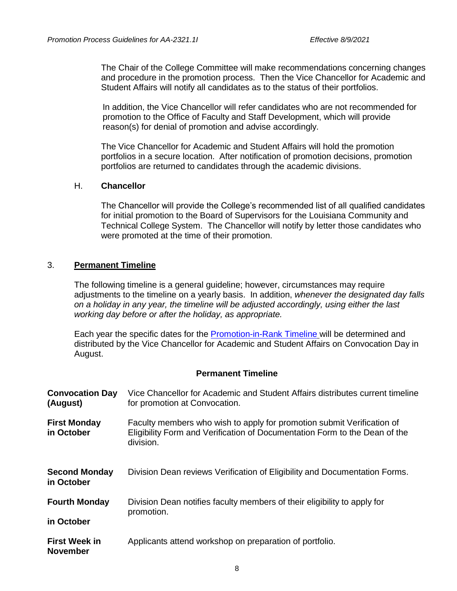The Chair of the College Committee will make recommendations concerning changes and procedure in the promotion process. Then the Vice Chancellor for Academic and Student Affairs will notify all candidates as to the status of their portfolios.

In addition, the Vice Chancellor will refer candidates who are not recommended for promotion to the Office of Faculty and Staff Development, which will provide reason(s) for denial of promotion and advise accordingly.

The Vice Chancellor for Academic and Student Affairs will hold the promotion portfolios in a secure location. After notification of promotion decisions, promotion portfolios are returned to candidates through the academic divisions.

#### H. **Chancellor**

The Chancellor will provide the College's recommended list of all qualified candidates for initial promotion to the Board of Supervisors for the Louisiana Community and Technical College System. The Chancellor will notify by letter those candidates who were promoted at the time of their promotion.

#### 3. **Permanent Timeline**

The following timeline is a general guideline; however, circumstances may require adjustments to the timeline on a yearly basis. In addition, *whenever the designated day falls on a holiday in any year, the timeline will be adjusted accordingly, using either the last working day before or after the holiday, as appropriate.*

Each year the specific dates for the [Promotion-in-Rank Timeline](http://docushare3.dcc.edu/docushare/dsweb/Get/Document-1928/OpGuide+06-07+-+Promotion+Calendar.doc) will be determined and distributed by the Vice Chancellor for Academic and Student Affairs on Convocation Day in August.

#### **Permanent Timeline**

| <b>Convocation Day</b><br>(August)      | Vice Chancellor for Academic and Student Affairs distributes current timeline<br>for promotion at Convocation.                                                    |
|-----------------------------------------|-------------------------------------------------------------------------------------------------------------------------------------------------------------------|
| <b>First Monday</b><br>in October       | Faculty members who wish to apply for promotion submit Verification of<br>Eligibility Form and Verification of Documentation Form to the Dean of the<br>division. |
| <b>Second Monday</b><br>in October      | Division Dean reviews Verification of Eligibility and Documentation Forms.                                                                                        |
| <b>Fourth Monday</b>                    | Division Dean notifies faculty members of their eligibility to apply for                                                                                          |
| in October                              | promotion.                                                                                                                                                        |
| <b>First Week in</b><br><b>November</b> | Applicants attend workshop on preparation of portfolio.                                                                                                           |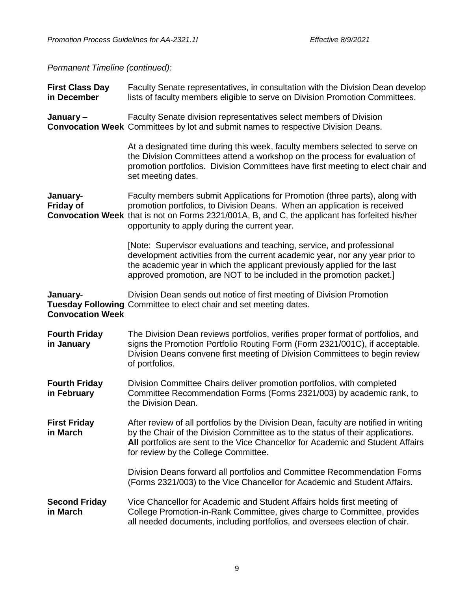*Permanent Timeline (continued):*

| <b>First Class Day</b><br>in December | Faculty Senate representatives, in consultation with the Division Dean develop<br>lists of faculty members eligible to serve on Division Promotion Committees.                                                                                                                                             |
|---------------------------------------|------------------------------------------------------------------------------------------------------------------------------------------------------------------------------------------------------------------------------------------------------------------------------------------------------------|
| January-                              | Faculty Senate division representatives select members of Division<br><b>Convocation Week</b> Committees by lot and submit names to respective Division Deans.                                                                                                                                             |
|                                       | At a designated time during this week, faculty members selected to serve on<br>the Division Committees attend a workshop on the process for evaluation of<br>promotion portfolios. Division Committees have first meeting to elect chair and<br>set meeting dates.                                         |
| January-<br><b>Friday of</b>          | Faculty members submit Applications for Promotion (three parts), along with<br>promotion portfolios, to Division Deans. When an application is received<br>Convocation Week that is not on Forms 2321/001A, B, and C, the applicant has forfeited his/her<br>opportunity to apply during the current year. |
|                                       | [Note: Supervisor evaluations and teaching, service, and professional<br>development activities from the current academic year, nor any year prior to<br>the academic year in which the applicant previously applied for the last<br>approved promotion, are NOT to be included in the promotion packet.]  |
| January-<br><b>Convocation Week</b>   | Division Dean sends out notice of first meeting of Division Promotion<br><b>Tuesday Following Committee to elect chair and set meeting dates.</b>                                                                                                                                                          |
| <b>Fourth Friday</b><br>in January    | The Division Dean reviews portfolios, verifies proper format of portfolios, and<br>signs the Promotion Portfolio Routing Form (Form 2321/001C), if acceptable.<br>Division Deans convene first meeting of Division Committees to begin review<br>of portfolios.                                            |
| <b>Fourth Friday</b><br>in February   | Division Committee Chairs deliver promotion portfolios, with completed<br>Committee Recommendation Forms (Forms 2321/003) by academic rank, to<br>the Division Dean.                                                                                                                                       |
| <b>First Friday</b><br>in March       | After review of all portfolios by the Division Dean, faculty are notified in writing<br>by the Chair of the Division Committee as to the status of their applications.<br>All portfolios are sent to the Vice Chancellor for Academic and Student Affairs<br>for review by the College Committee.          |
|                                       | Division Deans forward all portfolios and Committee Recommendation Forms<br>(Forms 2321/003) to the Vice Chancellor for Academic and Student Affairs.                                                                                                                                                      |
| <b>Second Friday</b><br>in March      | Vice Chancellor for Academic and Student Affairs holds first meeting of<br>College Promotion-in-Rank Committee, gives charge to Committee, provides<br>all needed documents, including portfolios, and oversees election of chair.                                                                         |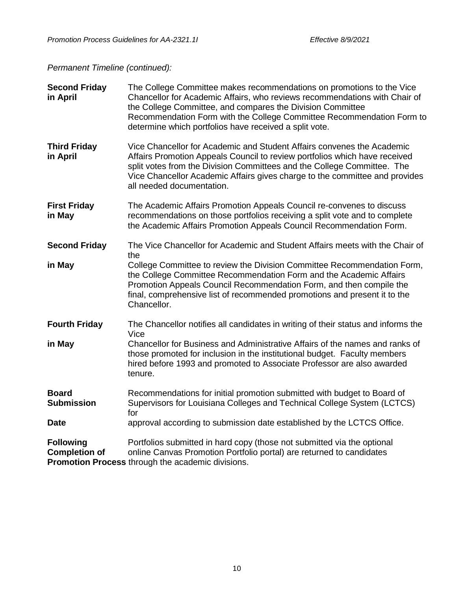*Permanent Timeline (continued):*

| <b>Second Friday</b><br>in April         | The College Committee makes recommendations on promotions to the Vice<br>Chancellor for Academic Affairs, who reviews recommendations with Chair of<br>the College Committee, and compares the Division Committee<br>Recommendation Form with the College Committee Recommendation Form to<br>determine which portfolios have received a split vote. |
|------------------------------------------|------------------------------------------------------------------------------------------------------------------------------------------------------------------------------------------------------------------------------------------------------------------------------------------------------------------------------------------------------|
| <b>Third Friday</b><br>in April          | Vice Chancellor for Academic and Student Affairs convenes the Academic<br>Affairs Promotion Appeals Council to review portfolios which have received<br>split votes from the Division Committees and the College Committee. The<br>Vice Chancellor Academic Affairs gives charge to the committee and provides<br>all needed documentation.          |
| <b>First Friday</b><br>in May            | The Academic Affairs Promotion Appeals Council re-convenes to discuss<br>recommendations on those portfolios receiving a split vote and to complete<br>the Academic Affairs Promotion Appeals Council Recommendation Form.                                                                                                                           |
| <b>Second Friday</b>                     | The Vice Chancellor for Academic and Student Affairs meets with the Chair of<br>the                                                                                                                                                                                                                                                                  |
| in May                                   | College Committee to review the Division Committee Recommendation Form,<br>the College Committee Recommendation Form and the Academic Affairs<br>Promotion Appeals Council Recommendation Form, and then compile the<br>final, comprehensive list of recommended promotions and present it to the<br>Chancellor.                                     |
| <b>Fourth Friday</b>                     | The Chancellor notifies all candidates in writing of their status and informs the<br>Vice                                                                                                                                                                                                                                                            |
| in May                                   | Chancellor for Business and Administrative Affairs of the names and ranks of<br>those promoted for inclusion in the institutional budget. Faculty members<br>hired before 1993 and promoted to Associate Professor are also awarded<br>tenure.                                                                                                       |
| <b>Board</b><br><b>Submission</b>        | Recommendations for initial promotion submitted with budget to Board of<br>Supervisors for Louisiana Colleges and Technical College System (LCTCS)<br>for                                                                                                                                                                                            |
| <b>Date</b>                              | approval according to submission date established by the LCTCS Office.                                                                                                                                                                                                                                                                               |
| <b>Following</b><br><b>Completion of</b> | Portfolios submitted in hard copy (those not submitted via the optional<br>online Canvas Promotion Portfolio portal) are returned to candidates<br><b>Promotion Process through the academic divisions.</b>                                                                                                                                          |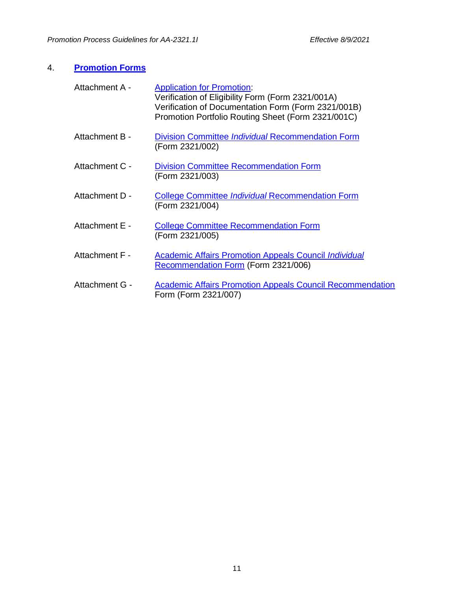## 4. **[Promotion Forms](http://docushare3.dcc.edu/docushare/dsweb/View/Collection-921)**

| Attachment A - | <b>Application for Promotion:</b><br>Verification of Eligibility Form (Form 2321/001A)<br>Verification of Documentation Form (Form 2321/001B)<br>Promotion Portfolio Routing Sheet (Form 2321/001C) |
|----------------|-----------------------------------------------------------------------------------------------------------------------------------------------------------------------------------------------------|
| Attachment B - | <b>Division Committee Individual Recommendation Form</b><br>(Form 2321/002)                                                                                                                         |
| Attachment C - | <b>Division Committee Recommendation Form</b><br>(Form 2321/003)                                                                                                                                    |
| Attachment D - | <b>College Committee Individual Recommendation Form</b><br>(Form 2321/004)                                                                                                                          |
| Attachment E - | <b>College Committee Recommendation Form</b><br>(Form 2321/005)                                                                                                                                     |
| Attachment F - | <b>Academic Affairs Promotion Appeals Council Individual</b><br><b>Recommendation Form (Form 2321/006)</b>                                                                                          |
| Attachment G - | <b>Academic Affairs Promotion Appeals Council Recommendation</b><br>Form (Form 2321/007)                                                                                                            |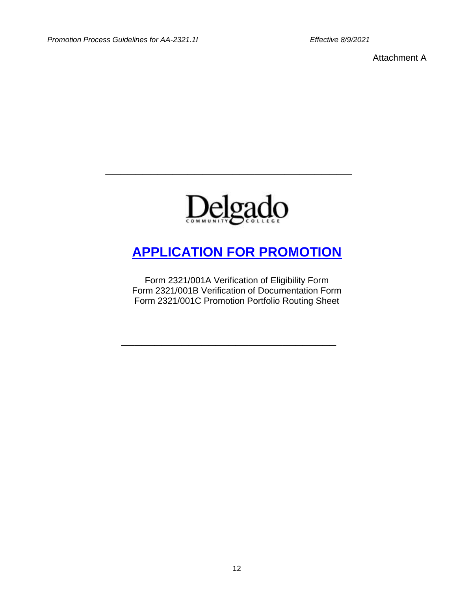Attachment A



**\_\_\_\_\_\_\_\_\_\_\_\_\_\_\_\_\_\_\_\_\_\_\_\_\_\_\_\_\_\_\_\_\_**

## **[APPLICATION FOR PROMOTION](file:///C:/Users/klaich/AppData/Local/Microsoft/Windows/INetCache/AppData/Local/Microsoft/Windows/INetCache/AppData/Local/Microsoft/Windows/INetCache/Content.Outlook/AppData/Local/Microsoft/AppData/Local/Microsoft/AppData/Local/Microsoft/AppData/Local/Microsoft/AppData/Local/Microsoft/Windows/Karen)**

Form 2321/001A Verification of Eligibility Form Form 2321/001B Verification of Documentation Form Form 2321/001C Promotion Portfolio Routing Sheet

**\_\_\_\_\_\_\_\_\_\_\_\_\_\_\_\_\_\_\_\_\_\_\_\_\_\_\_\_\_\_\_\_**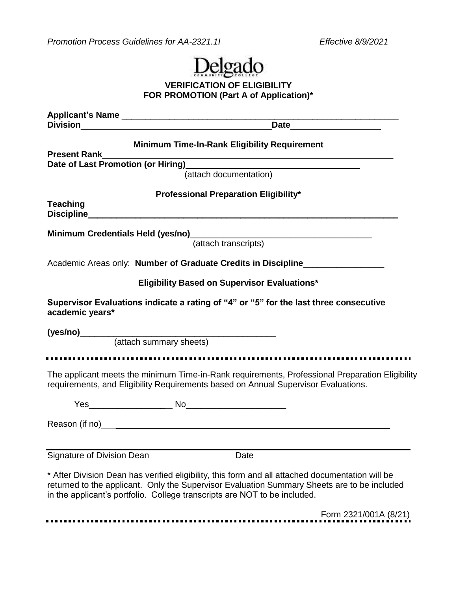*Promotion Process Guidelines for AA-2321.1I Effective 8/9/2021*



## **VERIFICATION OF ELIGIBILITY FOR PROMOTION (Part A of Application)\***

| <b>Present Rank</b>        | <b>Minimum Time-In-Rank Eligibility Requirement</b>                                                                                                                                                                                                                          |
|----------------------------|------------------------------------------------------------------------------------------------------------------------------------------------------------------------------------------------------------------------------------------------------------------------------|
|                            |                                                                                                                                                                                                                                                                              |
|                            | (attach documentation)                                                                                                                                                                                                                                                       |
|                            | <b>Professional Preparation Eligibility*</b>                                                                                                                                                                                                                                 |
| <b>Teaching</b>            |                                                                                                                                                                                                                                                                              |
|                            | Minimum Credentials Held (yes/no)<br>(attach transcripts)                                                                                                                                                                                                                    |
|                            | Academic Areas only: Number of Graduate Credits in Discipline                                                                                                                                                                                                                |
|                            | <b>Eligibility Based on Supervisor Evaluations*</b>                                                                                                                                                                                                                          |
| academic years*            | Supervisor Evaluations indicate a rating of "4" or "5" for the last three consecutive                                                                                                                                                                                        |
|                            |                                                                                                                                                                                                                                                                              |
|                            | (attach summary sheets)                                                                                                                                                                                                                                                      |
|                            | The applicant meets the minimum Time-in-Rank requirements, Professional Preparation Eligibility<br>requirements, and Eligibility Requirements based on Annual Supervisor Evaluations.                                                                                        |
|                            |                                                                                                                                                                                                                                                                              |
|                            |                                                                                                                                                                                                                                                                              |
| Signature of Division Dean | Date                                                                                                                                                                                                                                                                         |
|                            | * After Division Dean has verified eligibility, this form and all attached documentation will be<br>returned to the applicant. Only the Supervisor Evaluation Summary Sheets are to be included<br>in the applicant's portfolio. College transcripts are NOT to be included. |
|                            | Form 2321/001A (8/21)                                                                                                                                                                                                                                                        |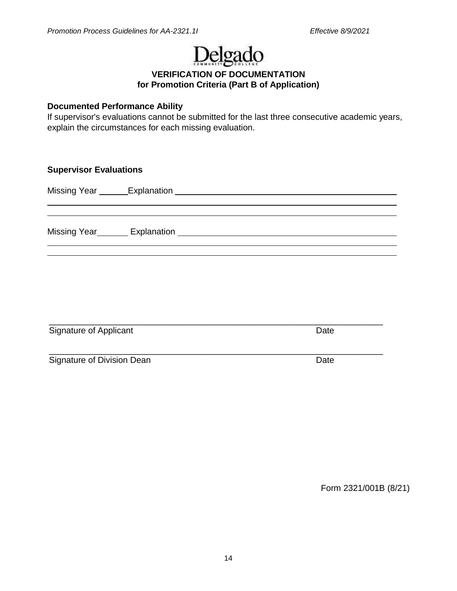# Delgado

**VERIFICATION OF DOCUMENTATION for Promotion Criteria (Part B of Application)**

#### **Documented Performance Ability**

If supervisor's evaluations cannot be submitted for the last three consecutive academic years, explain the circumstances for each missing evaluation.

**Supervisor Evaluations** 

Missing Year Explanation

Missing Year Explanation

| Signature of Applicant     | Date |
|----------------------------|------|
| Signature of Division Dean | Date |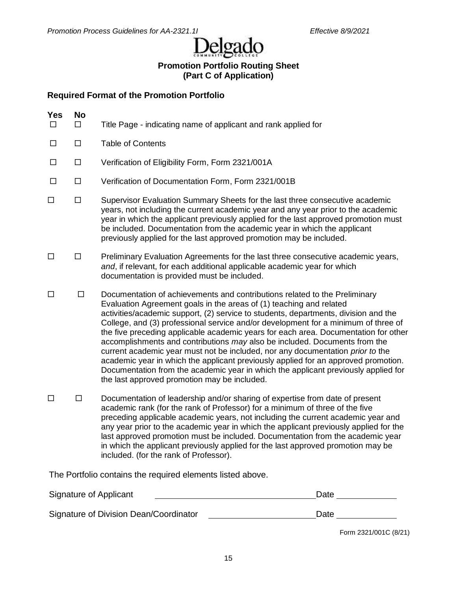Delgado

## **Promotion Portfolio Routing Sheet (Part C of Application)**

## **Required Format of the Promotion Portfolio**

| <b>Yes</b><br>п | <b>No</b><br>П. | Title Page - indicating name of applicant and rank applied for                                                                                                                                                                                                                                                                                                                                                                                                                                                                                                                                                                                                                                                                                                                                                    |
|-----------------|-----------------|-------------------------------------------------------------------------------------------------------------------------------------------------------------------------------------------------------------------------------------------------------------------------------------------------------------------------------------------------------------------------------------------------------------------------------------------------------------------------------------------------------------------------------------------------------------------------------------------------------------------------------------------------------------------------------------------------------------------------------------------------------------------------------------------------------------------|
| $\Box$          | $\Box$          | <b>Table of Contents</b>                                                                                                                                                                                                                                                                                                                                                                                                                                                                                                                                                                                                                                                                                                                                                                                          |
| $\Box$          | $\Box$          | Verification of Eligibility Form, Form 2321/001A                                                                                                                                                                                                                                                                                                                                                                                                                                                                                                                                                                                                                                                                                                                                                                  |
| $\Box$          | $\Box$          | Verification of Documentation Form, Form 2321/001B                                                                                                                                                                                                                                                                                                                                                                                                                                                                                                                                                                                                                                                                                                                                                                |
| $\Box$          | $\Box$          | Supervisor Evaluation Summary Sheets for the last three consecutive academic<br>years, not including the current academic year and any year prior to the academic<br>year in which the applicant previously applied for the last approved promotion must<br>be included. Documentation from the academic year in which the applicant<br>previously applied for the last approved promotion may be included.                                                                                                                                                                                                                                                                                                                                                                                                       |
| $\Box$          | $\Box$          | Preliminary Evaluation Agreements for the last three consecutive academic years,<br>and, if relevant, for each additional applicable academic year for which<br>documentation is provided must be included.                                                                                                                                                                                                                                                                                                                                                                                                                                                                                                                                                                                                       |
| $\Box$          | $\Box$          | Documentation of achievements and contributions related to the Preliminary<br>Evaluation Agreement goals in the areas of (1) teaching and related<br>activities/academic support, (2) service to students, departments, division and the<br>College, and (3) professional service and/or development for a minimum of three of<br>the five preceding applicable academic years for each area. Documentation for other<br>accomplishments and contributions may also be included. Documents from the<br>current academic year must not be included, nor any documentation prior to the<br>academic year in which the applicant previously applied for an approved promotion.<br>Documentation from the academic year in which the applicant previously applied for<br>the last approved promotion may be included. |
| $\Box$          | $\Box$          | Documentation of leadership and/or sharing of expertise from date of present<br>academic rank (for the rank of Professor) for a minimum of three of the five<br>preceding applicable academic years, not including the current academic year and<br>any year prior to the academic year in which the applicant previously applied for the<br>last approved promotion must be included. Documentation from the academic year<br>in which the applicant previously applied for the last approved promotion may be<br>included. (for the rank of Professor).                                                                                                                                                                                                                                                         |
|                 |                 | The Portfolio contains the required elements listed above.                                                                                                                                                                                                                                                                                                                                                                                                                                                                                                                                                                                                                                                                                                                                                        |

Signature of Applicant Date Signature of Division Dean/Coordinator **Date Date** Date Date

Form 2321/001C (8/21)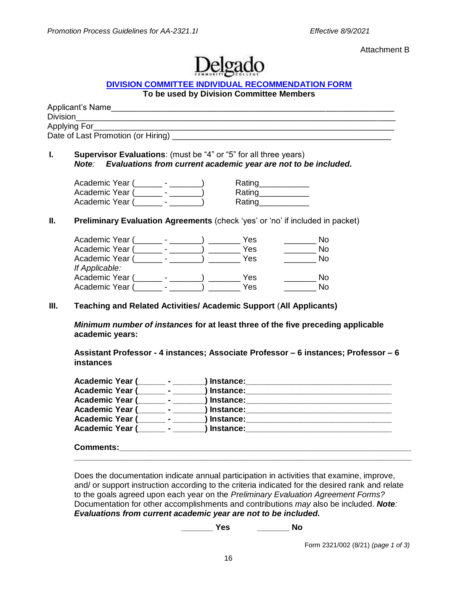Attachment B



#### **[DIVISION COMMITTEE INDIVIDUAL RECOMMENDATION FORM](http://docushare3.dcc.edu/docushare/dsweb/Get/Document-4134/2321-002+updated+10-08.doc)**

#### **To be used by Division Committee Members**

| Applicant's Name                   |  |
|------------------------------------|--|
| <b>Division</b>                    |  |
| Applying For                       |  |
| Date of Last Promotion (or Hiring) |  |
|                                    |  |

#### **I. Supervisor Evaluations**: (must be "4" or "5" for all three years) *Note: Evaluations from current academic year are not to be included.*

| Academic Year ( | Rating |
|-----------------|--------|
| Academic Year ( | Rating |
| Academic Year ( | Rating |

#### **II. Preliminary Evaluation Agreements** (check 'yes' or 'no' if included in packet)

| Academic Year ( |  | Yes | Nο  |
|-----------------|--|-----|-----|
| Academic Year ( |  | Yes | Nο  |
| Academic Year ( |  | Yes | No. |
| If Applicable:  |  |     |     |
| Academic Year ( |  | Yes | N٥  |
| Academic Year ( |  | Yes | N٥  |
|                 |  |     |     |

#### **III. Teaching and Related Activities/ Academic Support** (**All Applicants)**

*Minimum number of instances* **for at least three of the five preceding applicable academic years:**

**Assistant Professor - 4 instances; Associate Professor – 6 instances; Professor – 6 instances**

| <b>Academic Year (</b><br>$\sim$ $\sim$ $\sim$ $\sim$ | ) Instance: |  |
|-------------------------------------------------------|-------------|--|
| <b>Academic Year (</b><br>$\sim$                      | ) Instance: |  |
| <b>Academic Year (</b>                                | ) Instance: |  |
| <b>Academic Year (</b><br><b>Service</b>              | ) Instance: |  |
| <b>Academic Year (</b>                                | ) Instance: |  |
| <b>Academic Year (</b><br>$\sim$ 100 $\pm$            | ) Instance: |  |
|                                                       |             |  |

#### **Comments: \_\_\_\_\_\_\_\_\_\_\_\_\_\_\_\_\_\_\_\_\_\_\_\_\_\_\_\_\_\_\_\_\_\_\_\_\_\_\_\_\_\_\_\_\_\_\_\_\_\_\_\_\_\_\_\_\_\_\_\_\_\_\_\_\_\_\_\_\_\_\_\_\_\_**

Does the documentation indicate annual participation in activities that examine, improve, and/ or support instruction according to the criteria indicated for the desired rank and relate to the goals agreed upon each year on the *Preliminary Evaluation Agreement Forms?* Documentation for other accomplishments and contributions *may* also be included. *Note: Evaluations from current academic year are not to be included.*

**\_\_\_\_\_\_\_ Yes \_\_\_\_\_\_\_ No**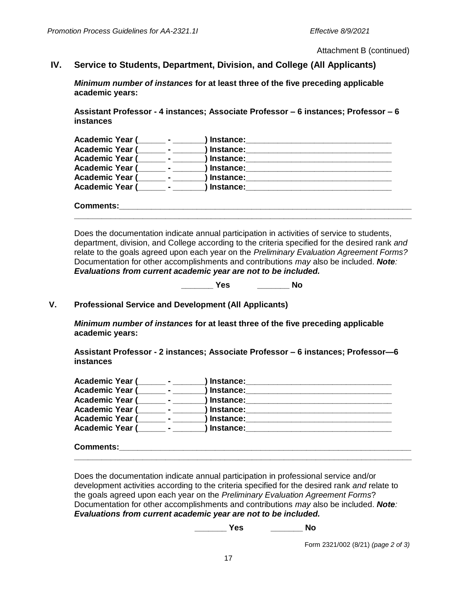Attachment B (continued)

## **IV. Service to Students, Department, Division, and College (All Applicants)**

*Minimum number of instances* **for at least three of the five preceding applicable academic years:**

**Assistant Professor - 4 instances; Associate Professor – 6 instances; Professor – 6 instances**

| Academic Year (        | <b>Contract Contract Contract</b> | / Instance: |
|------------------------|-----------------------------------|-------------|
| Academic Year (        | $\sim$ $\sim$ $\sim$              | ) Instance: |
| <b>Academic Year (</b> |                                   | ) Instance: |
| Academic Year (        | $\sim$                            | ) Instance: |
| Academic Year (        | $\sim$ 100 $\pm$                  | ) Instance: |
| <b>Academic Year (</b> | $\sim$                            | ) Instance: |
|                        |                                   |             |

**Comments:\_\_\_\_\_\_\_\_\_\_\_\_\_\_\_\_\_\_\_\_\_\_\_\_\_\_\_\_\_\_\_\_\_\_\_\_\_\_\_\_\_\_\_\_\_\_\_\_\_\_\_\_\_\_\_\_\_\_\_\_\_\_\_\_ \_\_\_\_\_\_\_\_\_\_\_\_\_\_\_\_\_\_\_\_\_\_\_\_\_\_\_\_\_\_\_\_\_\_\_\_\_\_\_\_\_\_\_\_\_\_\_\_\_\_\_\_\_\_\_\_\_\_\_\_\_\_\_\_\_\_\_\_\_\_\_\_\_\_**

Does the documentation indicate annual participation in activities of service to students, department, division, and College according to the criteria specified for the desired rank *and* relate to the goals agreed upon each year on the *Preliminary Evaluation Agreement Forms?* Documentation for other accomplishments and contributions *may* also be included. *Note: Evaluations from current academic year are not to be included.* 

**\_\_\_\_\_\_\_ Yes \_\_\_\_\_\_\_ No**

#### **V. Professional Service and Development (All Applicants)**

*Minimum number of instances* **for at least three of the five preceding applicable academic years:**

**Assistant Professor - 2 instances; Associate Professor – 6 instances; Professor—6 instances**

| <b>Academic Year (</b> | $\blacksquare$ | ) Instance: |
|------------------------|----------------|-------------|
| <b>Academic Year (</b> |                | ) Instance: |
| <b>Academic Year (</b> |                | ) Instance: |
| <b>Academic Year (</b> |                | ) Instance: |
| <b>Academic Year (</b> |                | ) Instance: |
| <b>Academic Year (</b> |                | ) Instance: |
|                        |                |             |

#### **Comments: \_\_\_\_\_\_\_\_\_\_\_\_\_\_\_\_\_\_\_\_\_\_\_\_\_\_\_\_\_\_\_\_\_\_\_\_\_\_\_\_\_\_\_\_\_\_\_\_\_\_\_\_\_\_\_\_\_\_\_\_\_\_\_\_\_\_\_\_\_\_\_\_\_\_**

Does the documentation indicate annual participation in professional service and/or development activities according to the criteria specified for the desired rank *and* relate to the goals agreed upon each year on the *Preliminary Evaluation Agreement Forms*? Documentation for other accomplishments and contributions *may* also be included. *Note: Evaluations from current academic year are not to be included.* 

**\_\_\_\_\_\_\_ Yes \_\_\_\_\_\_\_ No**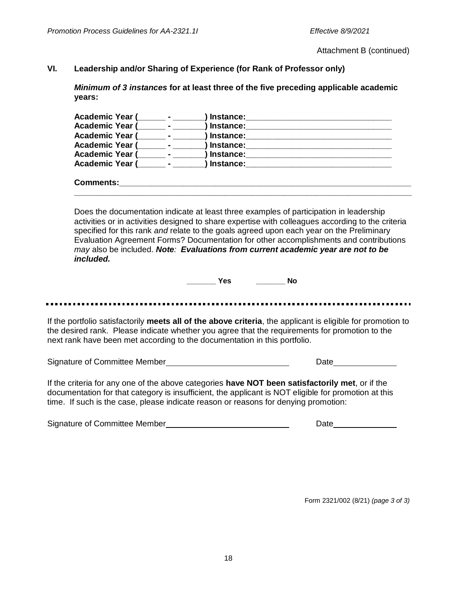Attachment B (continued)

#### **VI. Leadership and/or Sharing of Experience (for Rank of Professor only)**

*Minimum of 3 instances* **for at least three of the five preceding applicable academic years:**

| <b>Academic Year (</b> | Instance:   |  |
|------------------------|-------------|--|
| Academic Year (        | ) Instance: |  |
| <b>Academic Year (</b> | ) Instance: |  |
| <b>Academic Year (</b> | Instance:   |  |
| <b>Academic Year (</b> | Instance:   |  |
| <b>Academic Year (</b> | Instance:   |  |
|                        |             |  |
| <b>Comments:</b>       |             |  |

Does the documentation indicate at least three examples of participation in leadership activities or in activities designed to share expertise with colleagues according to the criteria specified for this rank *and* relate to the goals agreed upon each year on the Preliminary Evaluation Agreement Forms? Documentation for other accomplishments and contributions *may* also be included. *Note: Evaluations from current academic year are not to be included.*

**\_\_\_\_\_\_\_\_\_\_\_\_\_\_\_\_\_\_\_\_\_\_\_\_\_\_\_\_\_\_\_\_\_\_\_\_\_\_\_\_\_\_\_\_\_\_\_\_\_\_\_\_\_\_\_\_\_\_\_\_\_\_\_\_\_\_\_\_\_\_\_\_\_\_**

**\_\_\_\_\_\_\_ Yes \_\_\_\_\_\_\_ No**

.............................. ................

If the portfolio satisfactorily **meets all of the above criteria**, the applicant is eligible for promotion to the desired rank. Please indicate whether you agree that the requirements for promotion to the next rank have been met according to the documentation in this portfolio.

Signature of Committee Member **Date** Date **Date** 

If the criteria for any one of the above categories **have NOT been satisfactorily met**, or if the documentation for that category is insufficient, the applicant is NOT eligible for promotion at this time. If such is the case, please indicate reason or reasons for denying promotion:

| Signature of Committee Member | Date |
|-------------------------------|------|
|                               |      |

Form 2321/002 (8/21) *(page 3 of 3)*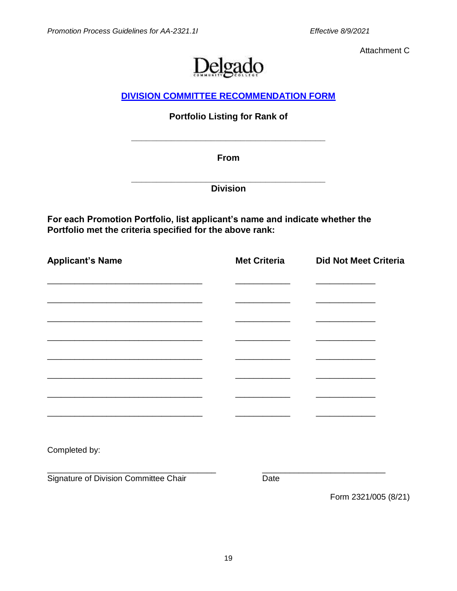Attachment C



## **DIVISION [COMMITTEE RECOMMENDATION FORM](http://docushare3.dcc.edu/docushare/dsweb/Get/Document-3809/2321-003+updated+12-07.doc)**

## **Portfolio Listing for Rank of**

**From**

**\_\_\_\_\_\_\_\_\_\_\_\_\_\_\_\_\_\_\_\_\_\_\_\_\_\_\_\_\_\_\_\_\_\_\_\_\_\_\_**

**\_\_\_\_\_\_\_\_\_\_\_\_\_\_\_\_\_\_\_\_\_\_\_\_\_\_\_\_\_\_\_\_\_\_\_\_\_\_\_ Division**

**For each Promotion Portfolio, list applicant's name and indicate whether the Portfolio met the criteria specified for the above rank:**

| <b>Applicant's Name</b>               | <b>Met Criteria</b> | <b>Did Not Meet Criteria</b> |
|---------------------------------------|---------------------|------------------------------|
|                                       |                     |                              |
|                                       |                     |                              |
|                                       |                     |                              |
|                                       |                     |                              |
|                                       |                     |                              |
|                                       |                     |                              |
|                                       |                     |                              |
|                                       |                     |                              |
| Completed by:                         |                     |                              |
| Signature of Division Committee Chair | Date                |                              |

Form 2321/005 (8/21)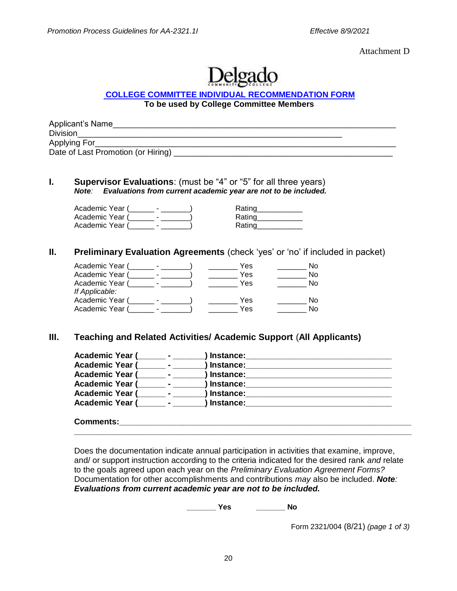Attachment D



#### **[COLLEGE COMMITTEE INDIVIDUAL RECOMMENDATION FORM](http://docushare3.dcc.edu/docushare/dsweb/Get/Document-4136/2321-004+updated+8-10.doc)**

**To be used by College Committee Members**

| Applicant's Name                   |  |
|------------------------------------|--|
| <b>Division</b>                    |  |
| Applying For                       |  |
| Date of Last Promotion (or Hiring) |  |

#### **I. Supervisor Evaluations**: (must be "4" or "5" for all three years) *Note: Evaluations from current academic year are not to be included.*

| Academic Year ( | Rating |
|-----------------|--------|
| Academic Year ( | Rating |
| Academic Year ( | Rating |

| <b>Rating</b> |  |
|---------------|--|
| Rating        |  |
| <b>Rating</b> |  |
|               |  |

#### **II. Preliminary Evaluation Agreements** (check 'yes' or 'no' if included in packet)

| Yes | No. |
|-----|-----|
| Yes | No. |
| Yes | No. |
|     |     |
| Yes | N٥  |
| Yes | No. |
|     |     |

#### **III. Teaching and Related Activities/ Academic Support** (**All Applicants)**

| <b>Academic Year (</b> | $\sim$ | Instance:   |  |
|------------------------|--------|-------------|--|
| <b>Academic Year (</b> |        | ) Instance: |  |
| <b>Academic Year (</b> |        | Instance:   |  |
| <b>Academic Year (</b> |        | ) Instance: |  |
| Academic Year (        |        | Instance:   |  |
| <b>Academic Year (</b> |        | ∣Instance:  |  |
|                        |        |             |  |

#### **Comments:**

Does the documentation indicate annual participation in activities that examine, improve, and/ or support instruction according to the criteria indicated for the desired rank *and* relate to the goals agreed upon each year on the *Preliminary Evaluation Agreement Forms?* Documentation for other accomplishments and contributions *may* also be included. *Note: Evaluations from current academic year are not to be included.*

**\_\_\_\_\_\_\_\_\_\_\_\_\_\_\_\_\_\_\_\_\_\_\_\_\_\_\_\_\_\_\_\_\_\_\_\_\_\_\_\_\_\_\_\_\_\_\_\_\_\_\_\_\_\_\_\_\_\_\_\_\_\_\_\_\_\_\_\_\_\_\_\_\_\_**

**\_\_\_\_\_\_\_ Yes \_\_\_\_\_\_\_ No**

Form 2321/004 (8/21) *(page 1 of 3)*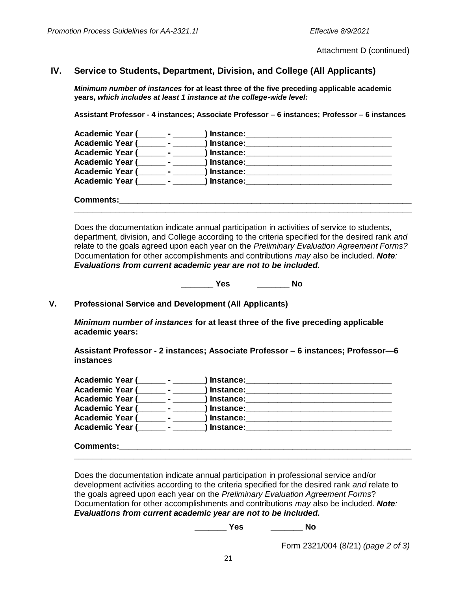Attachment D (continued)

## **IV. Service to Students, Department, Division, and College (All Applicants)**

*Minimum number of instances* **for at least three of the five preceding applicable academic years,** *which includes at least 1 instance at the college-wide level:*

**Assistant Professor - 4 instances; Associate Professor – 6 instances; Professor – 6 instances**

| Academic Year (        | Instance:   |  |
|------------------------|-------------|--|
| Academic Year (        | ) Instance: |  |
| <b>Academic Year (</b> | ) Instance: |  |
| Academic Year (        | Instance:   |  |
| Academic Year (        | Instance:   |  |
| <b>Academic Year (</b> | Instance:   |  |
|                        |             |  |
| <b>Comments:</b>       |             |  |

Does the documentation indicate annual participation in activities of service to students, department, division, and College according to the criteria specified for the desired rank *and* relate to the goals agreed upon each year on the *Preliminary Evaluation Agreement Forms?* Documentation for other accomplishments and contributions *may* also be included. *Note: Evaluations from current academic year are not to be included.*

**\_\_\_\_\_\_\_\_\_\_\_\_\_\_\_\_\_\_\_\_\_\_\_\_\_\_\_\_\_\_\_\_\_\_\_\_\_\_\_\_\_\_\_\_\_\_\_\_\_\_\_\_\_\_\_\_\_\_\_\_\_\_\_\_\_\_\_\_\_\_\_\_\_\_**

**\_\_\_\_\_\_\_ Yes \_\_\_\_\_\_\_ No**

**V. Professional Service and Development (All Applicants)**

*Minimum number of instances* **for at least three of the five preceding applicable academic years:**

**Assistant Professor - 2 instances; Associate Professor – 6 instances; Professor—6 instances**

| <b>Academic Year (</b> |                          | <b>Contract Contract Contract</b> | , Instance:      |
|------------------------|--------------------------|-----------------------------------|------------------|
| <b>Academic Year (</b> |                          |                                   | Instance:        |
| Academic Year (        | <b>Contract Contract</b> |                                   | ) Instance:      |
| <b>Academic Year (</b> |                          | $\sim$                            | ) Instance:      |
| <b>Academic Year (</b> |                          |                                   | Instance:        |
| <b>Academic Year (</b> | $\sim$ $\sim$            |                                   | <b>Instance:</b> |
|                        |                          |                                   |                  |

**Comments: \_\_\_\_\_\_\_\_\_\_\_\_\_\_\_\_\_\_\_\_\_\_\_\_\_\_\_\_\_\_\_\_\_\_\_\_\_\_\_\_\_\_\_\_\_\_\_\_\_\_\_\_\_\_\_\_\_\_\_\_\_\_\_\_\_\_\_\_\_\_\_\_\_\_**

Does the documentation indicate annual participation in professional service and/or development activities according to the criteria specified for the desired rank *and* relate to the goals agreed upon each year on the *Preliminary Evaluation Agreement Forms*? Documentation for other accomplishments and contributions *may* also be included. *Note: Evaluations from current academic year are not to be included.* 

**\_\_\_\_\_\_\_ Yes \_\_\_\_\_\_\_ No**

Form 2321/004 (8/21) *(page 2 of 3)*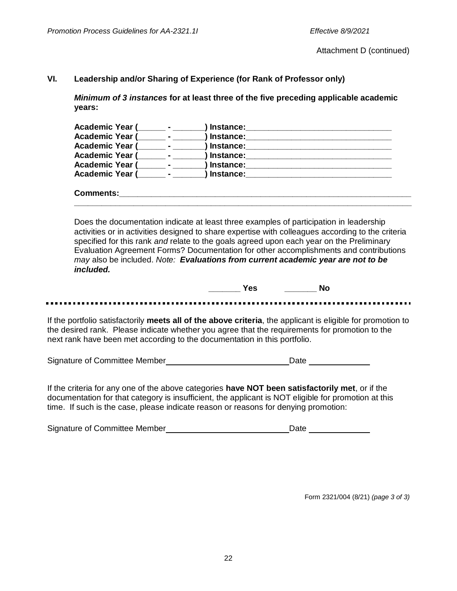Attachment D (continued)

#### **VI. Leadership and/or Sharing of Experience (for Rank of Professor only)**

*Minimum of 3 instances* **for at least three of the five preceding applicable academic years:**

| Academic Year (        | $\sim$         | / Instance: |  |
|------------------------|----------------|-------------|--|
| <b>Academic Year (</b> |                | Instance:   |  |
| <b>Academic Year (</b> |                | , Instance: |  |
| <b>Academic Year (</b> | $\blacksquare$ | Instance:   |  |
| <b>Academic Year (</b> |                | Instance:   |  |
| <b>Academic Year (</b> |                | Instance:   |  |
|                        |                |             |  |

**Comments: \_\_\_\_\_\_\_\_\_\_\_\_\_\_\_\_\_\_\_\_\_\_\_\_\_\_\_\_\_\_\_\_\_\_\_\_\_\_\_\_\_\_\_\_\_\_\_\_\_\_\_\_\_\_\_\_\_\_\_\_\_\_\_\_\_\_\_\_\_\_\_\_\_\_**

Does the documentation indicate at least three examples of participation in leadership activities or in activities designed to share expertise with colleagues according to the criteria specified for this rank *and* relate to the goals agreed upon each year on the Preliminary Evaluation Agreement Forms? Documentation for other accomplishments and contributions *may* also be included. *Note: Evaluations from current academic year are not to be included.*

 **\_\_\_\_\_\_\_ Yes \_\_\_\_\_\_\_ No**

If the portfolio satisfactorily **meets all of the above criteria**, the applicant is eligible for promotion to the desired rank. Please indicate whether you agree that the requirements for promotion to the next rank have been met according to the documentation in this portfolio.

Signature of Committee Member Date

If the criteria for any one of the above categories **have NOT been satisfactorily met**, or if the documentation for that category is insufficient, the applicant is NOT eligible for promotion at this time. If such is the case, please indicate reason or reasons for denying promotion:

| Signature of Committee Member | Date |
|-------------------------------|------|
|                               |      |

Form 2321/004 (8/21) *(page 3 of 3)*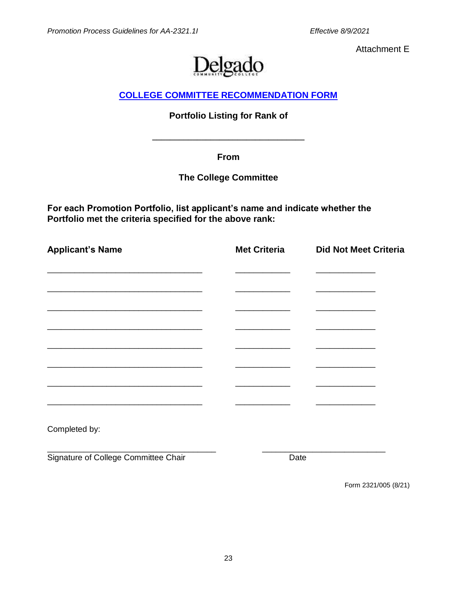Attachment E



## **[COLLEGE COMMITTEE RECOMMENDATION FORM](http://docushare3.dcc.edu/docushare/dsweb/Get/Document-3808/2321-004+updated+12-07.doc)**

## **Portfolio Listing for Rank of**

**\_\_\_\_\_\_\_\_\_\_\_\_\_\_\_\_\_\_\_\_\_\_\_\_\_\_\_\_\_\_\_\_\_\_**

**From**

## **The College Committee**

**For each Promotion Portfolio, list applicant's name and indicate whether the Portfolio met the criteria specified for the above rank:**

| <b>Applicant's Name</b>                                                                                               | <b>Met Criteria</b> | <b>Did Not Meet Criteria</b> |
|-----------------------------------------------------------------------------------------------------------------------|---------------------|------------------------------|
|                                                                                                                       |                     |                              |
|                                                                                                                       |                     |                              |
|                                                                                                                       |                     |                              |
|                                                                                                                       |                     |                              |
|                                                                                                                       |                     |                              |
|                                                                                                                       |                     |                              |
| <u> 1980 - Johann Stoff, deutscher Stoff, der Stoff, der Stoff, der Stoff, der Stoff, der Stoff, der Stoff, der S</u> |                     |                              |
|                                                                                                                       |                     |                              |
| Completed by:                                                                                                         |                     |                              |
| Signature of College Committee Chair                                                                                  | Date                |                              |
|                                                                                                                       |                     | Form 2321/005 (8/21)         |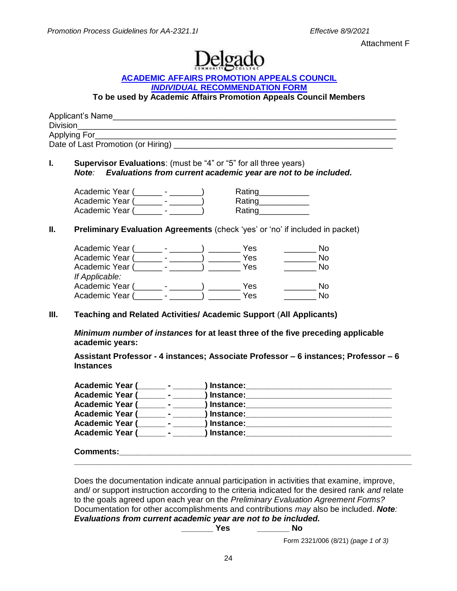Attachment F



#### **[ACADEMIC AFFAIRS PROMOTION APPEALS COUNCIL](http://docushare3.dcc.edu/docushare/dsweb/Get/Document-4135/2321-006+updated+8-10.doc)** *INDIVIDUAL* **[RECOMMENDATION FORM](http://docushare3.dcc.edu/docushare/dsweb/Get/Document-4135/2321-006+updated+8-10.doc)**

**To be used by Academic Affairs Promotion Appeals Council Members** 

| Applicant's Name                   |  |
|------------------------------------|--|
| <b>Division</b>                    |  |
| Applying For                       |  |
| Date of Last Promotion (or Hiring) |  |

#### **I. Supervisor Evaluations**: (must be "4" or "5" for all three years) *Note: Evaluations from current academic year are not to be included.*

Academic Year (\_\_\_\_\_\_\_ - \_\_\_\_\_\_) Rating\_\_\_\_\_\_\_\_\_\_\_ Academic Year (\_\_\_\_\_\_ - \_\_\_\_\_\_\_) Rating\_\_\_\_\_\_\_\_\_\_\_ Academic Year (\_\_\_\_\_\_ - \_\_\_\_\_\_\_) Rating\_\_\_\_\_\_\_\_\_\_\_

#### **II. Preliminary Evaluation Agreements** (check 'yes' or 'no' if included in packet)

| Academic Year ( |  | Yes | Nο  |
|-----------------|--|-----|-----|
| Academic Year ( |  | Yes | No  |
| Academic Year ( |  | Yes | No. |
| If Applicable:  |  |     |     |
| Academic Year ( |  | Yes | No. |
| Academic Year ( |  | Yes | N٥  |
|                 |  |     |     |

#### **III. Teaching and Related Activities/ Academic Support** (**All Applicants)**

*Minimum number of instances* **for at least three of the five preceding applicable academic years:**

**Assistant Professor - 4 instances; Associate Professor – 6 instances; Professor – 6 Instances**

#### **Comments:**

Does the documentation indicate annual participation in activities that examine, improve, and/ or support instruction according to the criteria indicated for the desired rank *and* relate to the goals agreed upon each year on the *Preliminary Evaluation Agreement Forms?* Documentation for other accomplishments and contributions *may* also be included. *Note: Evaluations from current academic year are not to be included.*

**\_\_\_\_\_\_\_\_\_\_\_\_\_\_\_\_\_\_\_\_\_\_\_\_\_\_\_\_\_\_\_\_\_\_\_\_\_\_\_\_\_\_\_\_\_\_\_\_\_\_\_\_\_\_\_\_\_\_\_\_\_\_\_\_\_\_\_\_\_\_\_\_\_\_**

**\_\_\_\_\_\_\_ Yes \_\_\_\_\_\_\_ No**

Form 2321/006 (8/21) *(page 1 of 3)*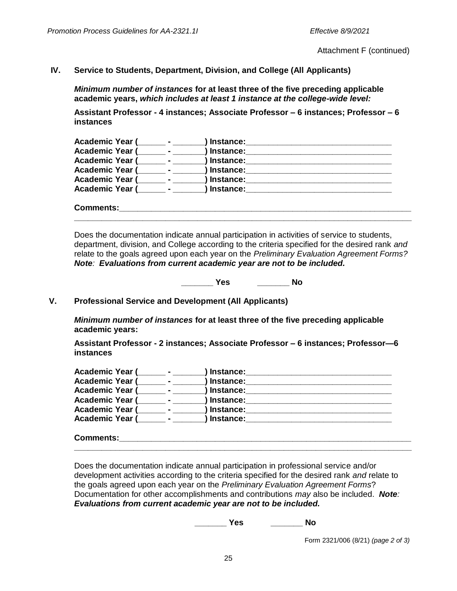Attachment F (continued)

#### **IV. Service to Students, Department, Division, and College (All Applicants)**

*Minimum number of instances* **for at least three of the five preceding applicable academic years,** *which includes at least 1 instance at the college-wide level:*

**Assistant Professor - 4 instances; Associate Professor – 6 instances; Professor – 6 instances**

| Academic Year (        | Instance: |  |
|------------------------|-----------|--|
| <b>Academic Year (</b> | Instance: |  |
| <b>Academic Year (</b> | Instance: |  |
| <b>Academic Year (</b> | Instance: |  |
| <b>Academic Year (</b> | Instance: |  |
| <b>Academic Year (</b> | ∣nstance: |  |
|                        |           |  |
| <b>Comments:</b>       |           |  |

Does the documentation indicate annual participation in activities of service to students, department, division, and College according to the criteria specified for the desired rank *and* relate to the goals agreed upon each year on the *Preliminary Evaluation Agreement Forms? Note: Evaluations from current academic year are not to be included.* 

**\_\_\_\_\_\_\_\_\_\_\_\_\_\_\_\_\_\_\_\_\_\_\_\_\_\_\_\_\_\_\_\_\_\_\_\_\_\_\_\_\_\_\_\_\_\_\_\_\_\_\_\_\_\_\_\_\_\_\_\_\_\_\_\_\_\_\_\_\_\_\_\_\_\_**

**\_\_\_\_\_\_\_ Yes \_\_\_\_\_\_\_ No**

#### **V. Professional Service and Development (All Applicants)**

*Minimum number of instances* **for at least three of the five preceding applicable academic years:**

**Assistant Professor - 2 instances; Associate Professor – 6 instances; Professor—6 instances**

#### **Comments: \_\_\_\_\_\_\_\_\_\_\_\_\_\_\_\_\_\_\_\_\_\_\_\_\_\_\_\_\_\_\_\_\_\_\_\_\_\_\_\_\_\_\_\_\_\_\_\_\_\_\_\_\_\_\_\_\_\_\_\_\_\_\_\_\_\_\_\_\_\_\_\_\_\_**

Does the documentation indicate annual participation in professional service and/or development activities according to the criteria specified for the desired rank *and* relate to the goals agreed upon each year on the *Preliminary Evaluation Agreement Forms*? Documentation for other accomplishments and contributions *may* also be included. *Note: Evaluations from current academic year are not to be included.* 

**\_\_\_\_\_\_\_ Yes \_\_\_\_\_\_\_ No**

Form 2321/006 (8/21) *(page 2 of 3)*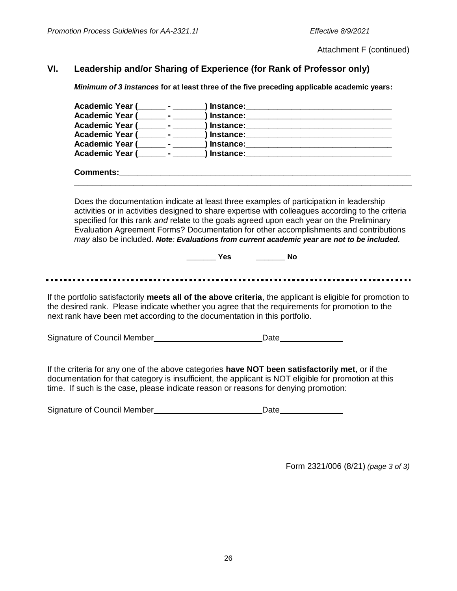Attachment F (continued)

## **VI. Leadership and/or Sharing of Experience (for Rank of Professor only)**

*Minimum of 3 instances* **for at least three of the five preceding applicable academic years:**

| Academic Year ( <sub>1111</sub> - 1222                                                                                                                                                                                                                                                         |                                                                                                                                                                                                                                                                                                                                                                                                                                                                                |  |  |  |
|------------------------------------------------------------------------------------------------------------------------------------------------------------------------------------------------------------------------------------------------------------------------------------------------|--------------------------------------------------------------------------------------------------------------------------------------------------------------------------------------------------------------------------------------------------------------------------------------------------------------------------------------------------------------------------------------------------------------------------------------------------------------------------------|--|--|--|
| <b>Academic Year (</b>                                                                                                                                                                                                                                                                         |                                                                                                                                                                                                                                                                                                                                                                                                                                                                                |  |  |  |
| <b>Academic Year (</b>                                                                                                                                                                                                                                                                         |                                                                                                                                                                                                                                                                                                                                                                                                                                                                                |  |  |  |
|                                                                                                                                                                                                                                                                                                |                                                                                                                                                                                                                                                                                                                                                                                                                                                                                |  |  |  |
|                                                                                                                                                                                                                                                                                                |                                                                                                                                                                                                                                                                                                                                                                                                                                                                                |  |  |  |
|                                                                                                                                                                                                                                                                                                |                                                                                                                                                                                                                                                                                                                                                                                                                                                                                |  |  |  |
|                                                                                                                                                                                                                                                                                                |                                                                                                                                                                                                                                                                                                                                                                                                                                                                                |  |  |  |
|                                                                                                                                                                                                                                                                                                | Does the documentation indicate at least three examples of participation in leadership<br>activities or in activities designed to share expertise with colleagues according to the criteria<br>specified for this rank and relate to the goals agreed upon each year on the Preliminary<br>Evaluation Agreement Forms? Documentation for other accomplishments and contributions<br>may also be included. Note: Evaluations from current academic year are not to be included. |  |  |  |
|                                                                                                                                                                                                                                                                                                | <b>Example ST</b><br><b>No</b>                                                                                                                                                                                                                                                                                                                                                                                                                                                 |  |  |  |
|                                                                                                                                                                                                                                                                                                |                                                                                                                                                                                                                                                                                                                                                                                                                                                                                |  |  |  |
|                                                                                                                                                                                                                                                                                                |                                                                                                                                                                                                                                                                                                                                                                                                                                                                                |  |  |  |
| If the portfolio satisfactorily meets all of the above criteria, the applicant is eligible for promotion to<br>the desired rank. Please indicate whether you agree that the requirements for promotion to the<br>next rank have been met according to the documentation in this portfolio.     |                                                                                                                                                                                                                                                                                                                                                                                                                                                                                |  |  |  |
|                                                                                                                                                                                                                                                                                                |                                                                                                                                                                                                                                                                                                                                                                                                                                                                                |  |  |  |
|                                                                                                                                                                                                                                                                                                |                                                                                                                                                                                                                                                                                                                                                                                                                                                                                |  |  |  |
| If the criteria for any one of the above categories have NOT been satisfactorily met, or if the<br>documentation for that category is insufficient, the applicant is NOT eligible for promotion at this<br>time. If such is the case, please indicate reason or reasons for denying promotion: |                                                                                                                                                                                                                                                                                                                                                                                                                                                                                |  |  |  |
|                                                                                                                                                                                                                                                                                                | Date______________                                                                                                                                                                                                                                                                                                                                                                                                                                                             |  |  |  |
|                                                                                                                                                                                                                                                                                                |                                                                                                                                                                                                                                                                                                                                                                                                                                                                                |  |  |  |
|                                                                                                                                                                                                                                                                                                |                                                                                                                                                                                                                                                                                                                                                                                                                                                                                |  |  |  |

Form 2321/006 (8/21) *(page 3 of 3)*